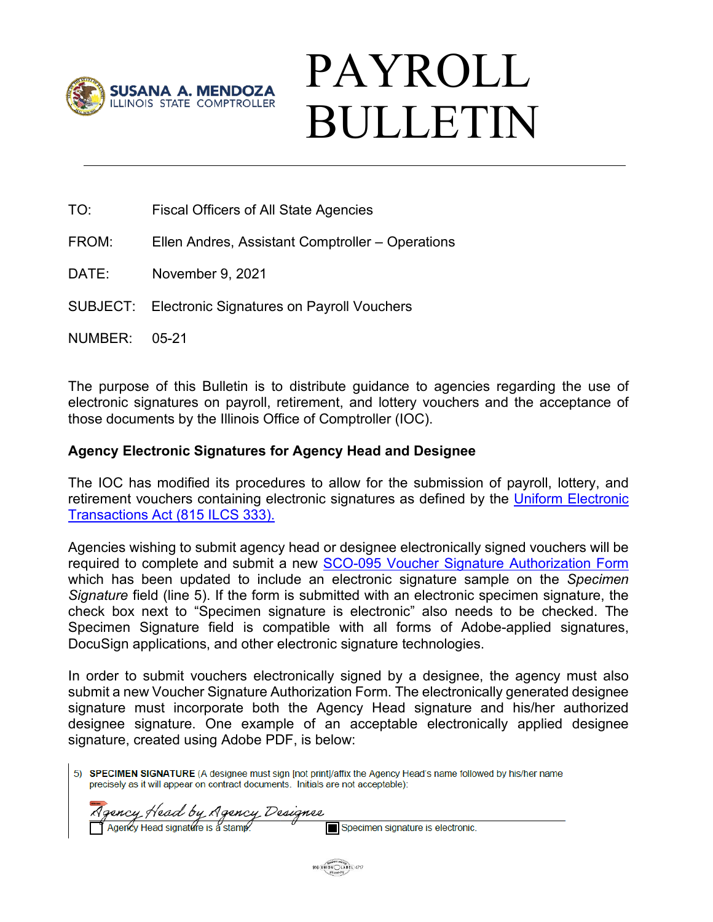

# PAYROLL BULLETIN

- TO: Fiscal Officers of All State Agencies
- FROM: Ellen Andres, Assistant Comptroller Operations
- DATE: November 9, 2021
- SUBJECT: Electronic Signatures on Payroll Vouchers
- NUMBER: 05-21

The purpose of this Bulletin is to distribute guidance to agencies regarding the use of electronic signatures on payroll, retirement, and lottery vouchers and the acceptance of those documents by the Illinois Office of Comptroller (IOC).

#### **Agency Electronic Signatures for Agency Head and Designee**

The IOC has modified its procedures to allow for the submission of payroll, lottery, and retirement vouchers containing electronic signatures as defined by the Uniform Electronic [Transactions Act \(815 ILCS 333\).](https://witnessslips.ilga.gov/legislation/ilcs/ilcs3.asp?ActID=4165&ChapterID=67)

Agencies wishing to submit agency head or designee electronically signed vouchers will be required to complete and submit a new [SCO-095 Voucher Signature Authorization Form](https://illinoiscomptroller.gov/agencies/resource-library/accounting-forms/sco-095-voucher-signature-authorization/) which has been updated to include an electronic signature sample on the *Specimen Signature* field (line 5). If the form is submitted with an electronic specimen signature, the check box next to "Specimen signature is electronic" also needs to be checked. The Specimen Signature field is compatible with all forms of Adobe-applied signatures, DocuSign applications, and other electronic signature technologies.

In order to submit vouchers electronically signed by a designee, the agency must also submit a new Voucher Signature Authorization Form. The electronically generated designee signature must incorporate both the Agency Head signature and his/her authorized designee signature. One example of an acceptable electronically applied designee signature, created using Adobe PDF, is below:

5) SPECIMEN SIGNATURE (A designee must sign [not print]/affix the Agency Head's name followed by his/her name precisely as it will appear on contract documents. Initials are not acceptable):

Agency Head by Agency Designee Agency Head signature is a stamp

Specimen signature is electronic.